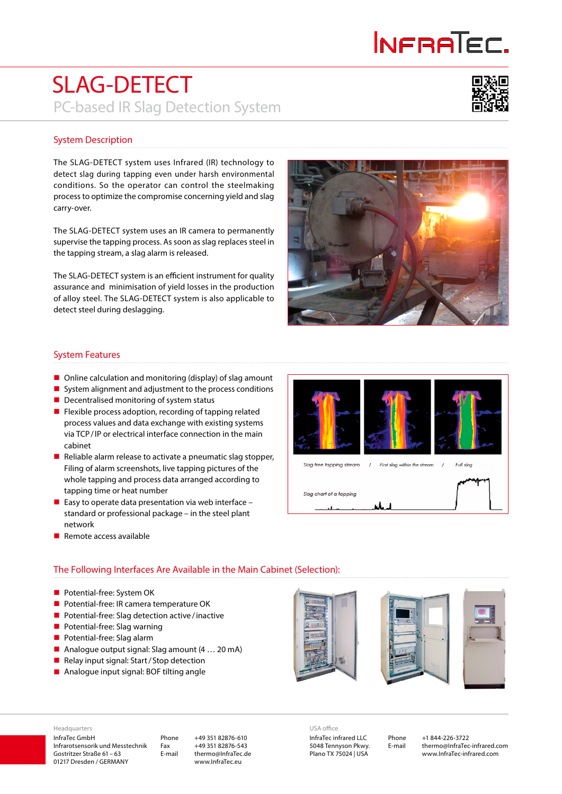# INFRATEC.

### SLAG-DETECT PC-based IR Slag Detection System



#### System Description

The SLAG-DETECT system uses Infrared (IR) technology to detect slag during tapping even under harsh environmental conditions. So the operator can control the steelmaking process to optimize the compromise concerning yield and slag carry-over.

The SLAG-DETECT system uses an IR camera to permanently supervise the tapping process. As soon as slag replaces steel in the tapping stream, a slag alarm is released.

The SLAG-DETECT system is an efficient instrument for quality assurance and minimisation of yield losses in the production of alloy steel. The SLAG-DETECT system is also applicable to detect steel during deslagging.



#### System Features

- Online calculation and monitoring (display) of slag amount
- $\blacksquare$  System alignment and adjustment to the process conditions
- $\blacksquare$  Decentralised monitoring of system status
- $\blacksquare$  Flexible process adoption, recording of tapping related process values and data exchange with existing systems via TCP/IP or electrical interface connection in the main cabinet
- Reliable alarm release to activate a pneumatic slag stopper, Filing of alarm screenshots, live tapping pictures of the whole tapping and process data arranged according to tapping time or heat number
- Easy to operate data presentation via web interface standard or professional package – in the steel plant network
- $\blacksquare$  Remote access available

 $\overline{1}$  $\overline{1}$ Full slop Slag free tapping stream First slog within the stream Slag chart of a tapping

#### The Following Interfaces Are Available in the Main Cabinet (Selection):

- **Potential-free: System OK**
- **Potential-free: IR camera temperature OK**
- **Potential-free: Slag detection active/inactive**
- **Potential-free: Slag warning**
- **Potential-free: Slag alarm**
- Analogue output signal: Slag amount (4 ... 20 mA)
- Relay input signal: Start / Stop detection
- Analogue input signal: BOF tilting angle



#### InfraTec GmbH Infrarotsensorik und Messtechnik Headquarters

Gostritzer Straße 61– 63 01217 Dresden / GERMANY Phone +49 351 82876-610 Fax +49 351 82876-543 E-mail thermo@InfraTec.de www.InfraTec.eu

InfraTec infrared LLC USA office

5048 Tennyson Pkwy. Plano TX 75024 | USA

Phone +1 844-226-3722 E-mail thermo@InfraTec-infrared.com www.InfraTec-infrared.com